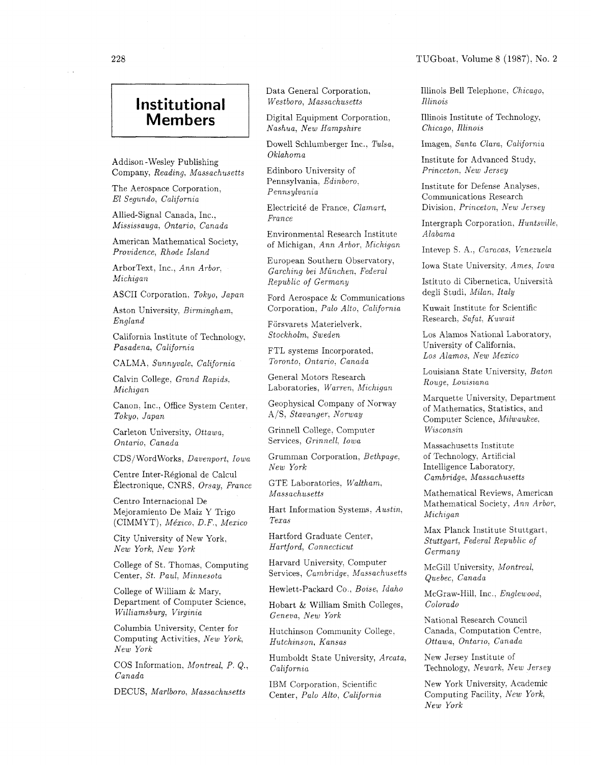## TUGboat, Volume 8 (1987). No. **2**

## **Institutional Members**

Addison -Wesley Publishing Company, *Reading, Massachusetts* 

The Aerospace Corporation, *El Segundo, California* 

Allied-Signal Canada, Inc., *Mississauga, Ontario, Canada* 

American Mathematical Society, *Providence, Rhode Island* 

ArborText, Inc., *Ann Arbor,*   $Michael$ 

ASCII Corporation, *Tokyo. Japan* 

Aston University. *Birmingham, England* 

California Institute of Technology. *Pasadena? California* 

CALMA. *Sunnyvale, California* 

Calvin College, *Grand Rapids. Michigan* 

Canon, Inc., Office System Center. *Tokyo, Japan* 

Carleton University, *Ottawa, Ontario, Canada* 

CDS/WordWorks, *Davenport, Iowa* 

Centre Inter-Régional de Calcul  $'Electonique, CNRS, *Orsay, France*$ 

Centro Internacional De Mejoramiento De Maiz Y Trigo (CIMMYT), *Me'xzco, D.F., Mexico* 

City University of New York, *New York, New York* 

College of St. Thomas, Computing Center, *St. Paul, Minnesota* 

College of William & Mary. Department of Computer Science, *Williamsburg, Virginia* 

Columbia University. Center for Computing Activities, *New York, New York* 

COS Information, *Montreal,* P. Q., *Canada* 

DECUS, *Marlboro. Massachusetts* 

Data General Corporation, *Westboro, Massachusetts* 

Digital Equipment Corporation, *Nashua, New Hampshire* 

Dowell Schlumberger Inc., Tulsa, *Oklahoma* 

Edinboro University of Pennsylvania, *Edinboro. Pennsylvania* 

Electricité de France, *Clamart*, *France* 

Environmental Research Institute of Michigan, *Ann Arbor, Michigan* 

European Southern Observatory, *Garching bei Miinchen, Federal Republic of Germany* 

Ford Aerospace & Communications Corporation, *Palo Alto, California* 

Försvarets Materielverk, *Stockholm, Sweden* 

FTL systems Incorporated, *Toronto, Ontario, Canada* 

General Motors Research Laboratories, Warren, Michigan

Geophysical Company of Norway A/S, *Stavanger. Norway* 

Grinnell College. Computer Services, *Grinnell: Iowa* 

Grumman Corporation. *Bethpage, New York* 

GTE Laboratories, *Waltham, Massachusetts* 

Hart Information Systems, *Austin, Texas* 

Hartford Graduate Center, *Hartford, Connecticut* 

Harvard University. Computer Services, *Cambridge, Massachusetts* 

Hewlett-Packard Co., *Boise, Idaho* 

Hobart & William Smith Colleges, *Geneva, New York* 

Hutchinson Community College, *Hutchinson, Kansas* 

Humboldt State University, *Arcata, Calijornza* 

IBM Corporation, Scientific Center, *Palo Alto, California*  Illinois Bell Telephone, *Chicago. Illinois* 

Illinois Institute of Technology, *Chicago, Illinois* 

Imagen, *Santa Clara*, *California* 

Institute for Advanced Study. *Princeton. New Jersey* 

Institute for Defense Analyses. Communications Research Division. *Princeton, New Jersey* 

Intergraph Corporation, *Huntsville, Alabama* 

Intevep *S.* A.: *Caracas: Venezuela* 

Iowa State University. *Ames, Iowa* 

Istituto di Cibernetica, Universita degli Studi, *Milan, Italy* 

Kuwait Institute for Scientific Research. *Safat, Kuwait* 

Los Alamos National Laboratory, University of California. *Los Alamos, New Mexico* 

Louisiana State University, *Baton Rouge, Louiszana* 

Marquette University, Department of Mathematics, Statistics, and Computer Science, *Milwaukee.*   $W$ *isconsin* 

Massachusetts Institute of Technology, Artificial Intelligence Laboratory, *Cambridge, hlassachusetts* 

Mathematical Reviews: American Mathematical Society. *Ann Arbor,*   $Michael$ 

Max Planck Institute Stuttgart, *Stuttgart, Federal Republic of Germany* 

McGill University, *Montreal. Quebec, Canada* 

McGraw-Hill. Inc., *Englewood, Colorado* 

National Research Council Canada. Computation Centre. *Ottawa, Ontarzo, Canada* 

New Jersey Institute of Technology, *Newark, New Jersey* 

New York University, Academic Computing Facility, *New York, New York*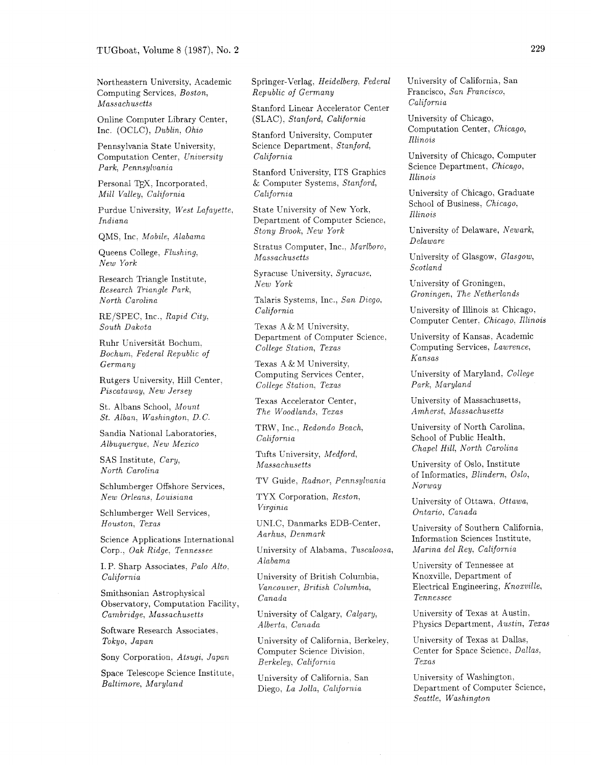Northeastern University. Academic Computing Services, *Boston, Massachusetts* 

Online Computer Library Center, Inc. (OCLC), *Dublin*, *Ohio* 

Pennsylvania State University, Computation Center. *University Park, Pennsylvania* 

Personal TFX, Incorporated, *Mill Valley, California* 

Purdue University, *West Lafayette. Indiana* 

QMS: Inc. *Mobile, Alabama* 

Queens College, *Flushing. New York* 

Research Triangle Institute, *Research Triangle Park, North Carolina* 

RE/SPEC, Inc., *Rapid City. South Dakota* 

Ruhr Universitat Bochum. *Bochum. Federal Republzc of Germany* 

Rutgers University, Hill Center. *Piscataway, New Jersey* 

St. Albans School, *Mount St. Alban. Washington, D.C.* 

Sandia National Laboratories, *Albuquerque: New Mexico* 

SAS Institute, *Cary, North Carolina* 

Schlumberger Offshore Services. *New Orleans, Louisiana* 

Schlumberger Well Services, *Houston, Texas* 

Science Applications International Corp., *Oak Ridge, Tennessee* 

I.P. Sharp Associates. *Palo Alto. California* 

Smithsonian Astrophysical Observatory, Computation Facility, *Cambridge, Massachusetts* 

Software Research Associates, *Tokyo, Japan* 

Sony Corporation, Atsugi, Japan

Space Telescope Science Institute, *Baltimore? Maryland* 

Springer-Verlag, *Heidelberg, Federal Republic of Germany* 

Stanford Linear Accelerator Center (SLAC), *Stanford, California* 

Stanford University, Computer Science Department, *Stanford, California* 

Stanford University, ITS Graphics & Computer Systems, *Stanford, Calzfornza* 

State University of New York. Department of Computer Science, *Stony Brook, New York* 

Stratus Computer, Inc., *Marlboro*, *Massachusetts* 

Syracuse University, *Syracuse. New York* 

Talaris Systems, Inc., *San Diego. California* 

Texas A & M University, Department of Computer Science. *College Station, Texas* 

Texas A & M University, Computing Services Center: *College Station. Texas* 

Texas Accelerator Center, *The Woodlands, Texas* 

TRW, Inc., *Redondo Beach, California* 

Tufts University, *Medford, Massachusetts* 

TV Guide, *Radnor, Pennsylvania* 

TYX Corporation. *Reston, Virginza* 

UNLC, Danmarks EDB-Center, *Aarhus, Denmark* 

University of Alabama, *Tuscaloosa, Alabama* 

University of British Columbia.  $Vancouver, British Columbia,$ *Canada* 

University of Calgary, *Calgary, Alberta, Canada* 

University of California, Berkeley, Computer Science Division. *Berkeley, California* 

University of California. San Diego, *La Jolla*, *California* 

University of California, San Francisco, *Sun Francisco, California* 

University of Chicago, Computation Center, *Chicago, Illinois* 

University of Chicago, Computer Science Department, *Chicago, Illinois* 

University of Chicago, Graduate School of Business, *Chicago,*   $Illinois$ 

University of Delaware, *Newark: Delaware* 

University of Glasgow. *Glasgow, Scotland* 

University of Groningen, *Groningen, The Netherlands* 

University of Illinois at Chicago, Computer Center. *Chicago, Illinois* 

University of Kansas, Academic Computing Services, *Lawrence, Kansas* 

University of Maryland. *College*  Park, Maryland

University of Massachusetts, *Amherst, Massachusetts* 

University of North Carolina, School of Public Health, *Chapel Hill, North Carolina* 

University of Oslo, Institute of Informatics, *Blindern, Oslo, Norway* 

University of Ottawa, *Ottawa, Ontario. Canada* 

University of Southern California, Information Sciences Institute. *Marina del Rey, California* 

University of Tennessee at Knoxville, Department of Electrical Engineering, *Knoxville*, *Tennessee* 

University of Texas at Austin, Physics Department, *Austin, Texas* 

University of Texas at Dallas, Center for Space Science, *Dallas, Texas* 

University of Washington, Department of Computer Science, *Seattle, Washington*